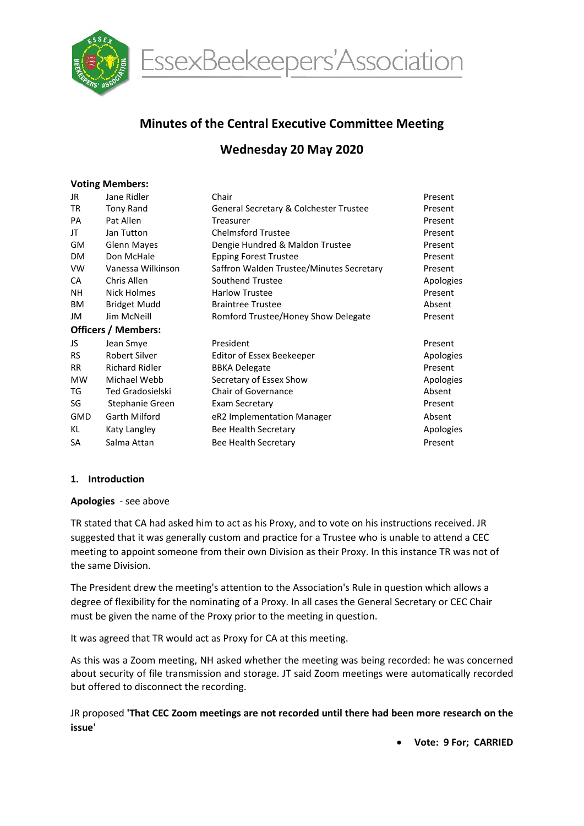

EssexBeekeepers'Association

# Minutes of the Central Executive Committee Meeting

# Wednesday 20 May 2020

#### Voting Members:

| Jane Ridler                | Chair                                    | Present   |  |  |  |  |  |
|----------------------------|------------------------------------------|-----------|--|--|--|--|--|
| <b>Tony Rand</b>           | General Secretary & Colchester Trustee   | Present   |  |  |  |  |  |
| Pat Allen                  | Treasurer                                | Present   |  |  |  |  |  |
| Jan Tutton                 | <b>Chelmsford Trustee</b>                | Present   |  |  |  |  |  |
| <b>Glenn Mayes</b>         | Dengie Hundred & Maldon Trustee          | Present   |  |  |  |  |  |
| Don McHale                 | <b>Epping Forest Trustee</b>             | Present   |  |  |  |  |  |
| Vanessa Wilkinson          | Saffron Walden Trustee/Minutes Secretary | Present   |  |  |  |  |  |
| Chris Allen                | Southend Trustee                         | Apologies |  |  |  |  |  |
| Nick Holmes                | <b>Harlow Trustee</b>                    | Present   |  |  |  |  |  |
| <b>Bridget Mudd</b>        | <b>Braintree Trustee</b>                 | Absent    |  |  |  |  |  |
| Jim McNeill                | Romford Trustee/Honey Show Delegate      | Present   |  |  |  |  |  |
| <b>Officers / Members:</b> |                                          |           |  |  |  |  |  |
| Jean Smye                  | President                                | Present   |  |  |  |  |  |
| Robert Silver              | Editor of Essex Beekeeper                | Apologies |  |  |  |  |  |
| <b>Richard Ridler</b>      | <b>BBKA Delegate</b>                     | Present   |  |  |  |  |  |
| Michael Webb               | Secretary of Essex Show                  | Apologies |  |  |  |  |  |
| <b>Ted Gradosielski</b>    | Chair of Governance                      | Absent    |  |  |  |  |  |
| Stephanie Green            | Exam Secretary                           | Present   |  |  |  |  |  |
| Garth Milford              | eR2 Implementation Manager               | Absent    |  |  |  |  |  |
| Katy Langley               | Bee Health Secretary                     | Apologies |  |  |  |  |  |
| Salma Attan                | Bee Health Secretary                     | Present   |  |  |  |  |  |
|                            |                                          |           |  |  |  |  |  |

#### 1. Introduction

#### Apologies - see above

TR stated that CA had asked him to act as his Proxy, and to vote on his instructions received. JR suggested that it was generally custom and practice for a Trustee who is unable to attend a CEC meeting to appoint someone from their own Division as their Proxy. In this instance TR was not of the same Division.

The President drew the meeting's attention to the Association's Rule in question which allows a degree of flexibility for the nominating of a Proxy. In all cases the General Secretary or CEC Chair must be given the name of the Proxy prior to the meeting in question.

It was agreed that TR would act as Proxy for CA at this meeting.

As this was a Zoom meeting, NH asked whether the meeting was being recorded: he was concerned about security of file transmission and storage. JT said Zoom meetings were automatically recorded but offered to disconnect the recording.

JR proposed 'That CEC Zoom meetings are not recorded until there had been more research on the issue'

Vote: 9 For; CARRIED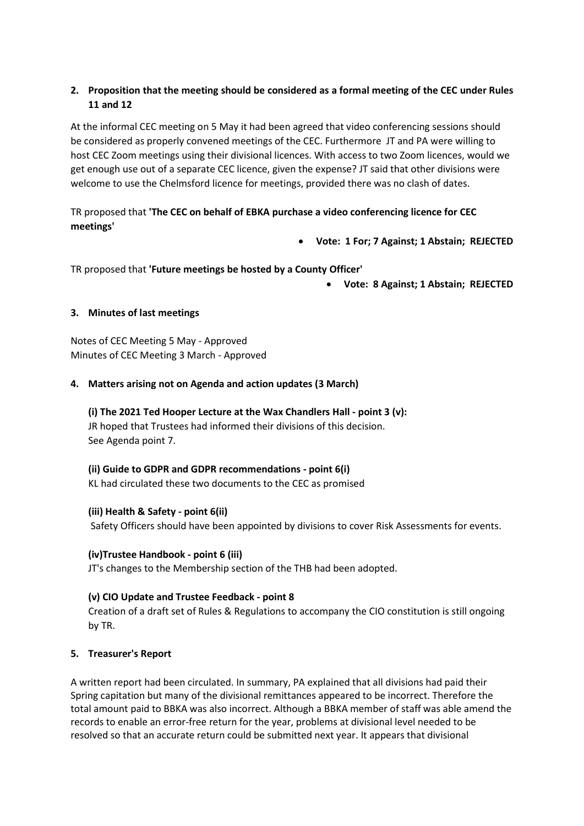# 2. Proposition that the meeting should be considered as a formal meeting of the CEC under Rules 11 and 12

At the informal CEC meeting on 5 May it had been agreed that video conferencing sessions should be considered as properly convened meetings of the CEC. Furthermore JT and PA were willing to host CEC Zoom meetings using their divisional licences. With access to two Zoom licences, would we get enough use out of a separate CEC licence, given the expense? JT said that other divisions were welcome to use the Chelmsford licence for meetings, provided there was no clash of dates.

# TR proposed that 'The CEC on behalf of EBKA purchase a video conferencing licence for CEC meetings'

Vote: 1 For; 7 Against; 1 Abstain; REJECTED

TR proposed that 'Future meetings be hosted by a County Officer'

Vote: 8 Against; 1 Abstain; REJECTED

# 3. Minutes of last meetings

Notes of CEC Meeting 5 May - Approved Minutes of CEC Meeting 3 March - Approved

## 4. Matters arising not on Agenda and action updates (3 March)

(i) The 2021 Ted Hooper Lecture at the Wax Chandlers Hall - point 3 (v): JR hoped that Trustees had informed their divisions of this decision. See Agenda point 7.

# (ii) Guide to GDPR and GDPR recommendations - point 6(i)

KL had circulated these two documents to the CEC as promised

# (iii) Health & Safety - point 6(ii)

Safety Officers should have been appointed by divisions to cover Risk Assessments for events.

# (iv)Trustee Handbook - point 6 (iii)

JT's changes to the Membership section of the THB had been adopted.

# (v) CIO Update and Trustee Feedback - point 8

Creation of a draft set of Rules & Regulations to accompany the CIO constitution is still ongoing by TR.

#### 5. Treasurer's Report

A written report had been circulated. In summary, PA explained that all divisions had paid their Spring capitation but many of the divisional remittances appeared to be incorrect. Therefore the total amount paid to BBKA was also incorrect. Although a BBKA member of staff was able amend the records to enable an error-free return for the year, problems at divisional level needed to be resolved so that an accurate return could be submitted next year. It appears that divisional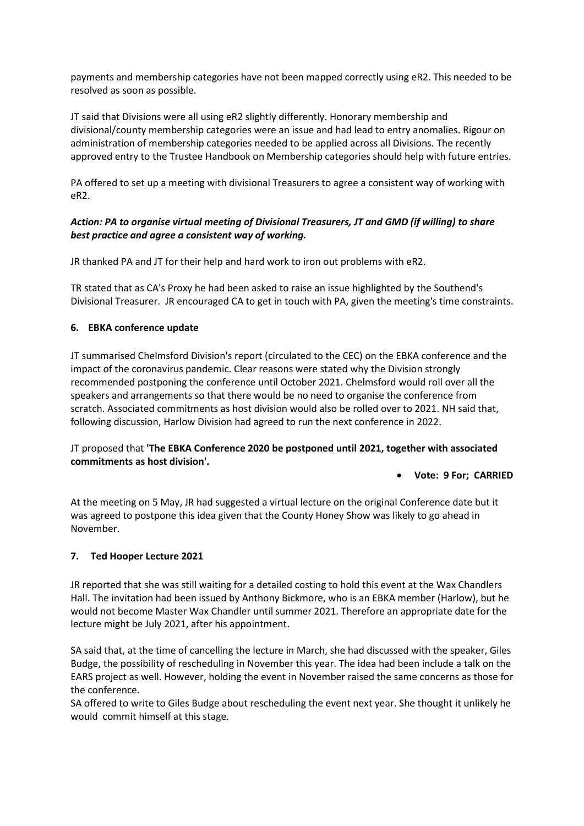payments and membership categories have not been mapped correctly using eR2. This needed to be resolved as soon as possible.

JT said that Divisions were all using eR2 slightly differently. Honorary membership and divisional/county membership categories were an issue and had lead to entry anomalies. Rigour on administration of membership categories needed to be applied across all Divisions. The recently approved entry to the Trustee Handbook on Membership categories should help with future entries.

PA offered to set up a meeting with divisional Treasurers to agree a consistent way of working with eR2.

# Action: PA to organise virtual meeting of Divisional Treasurers, JT and GMD (if willing) to share best practice and agree a consistent way of working.

JR thanked PA and JT for their help and hard work to iron out problems with eR2.

TR stated that as CA's Proxy he had been asked to raise an issue highlighted by the Southend's Divisional Treasurer. JR encouraged CA to get in touch with PA, given the meeting's time constraints.

## 6. EBKA conference update

JT summarised Chelmsford Division's report (circulated to the CEC) on the EBKA conference and the impact of the coronavirus pandemic. Clear reasons were stated why the Division strongly recommended postponing the conference until October 2021. Chelmsford would roll over all the speakers and arrangements so that there would be no need to organise the conference from scratch. Associated commitments as host division would also be rolled over to 2021. NH said that, following discussion, Harlow Division had agreed to run the next conference in 2022.

## JT proposed that 'The EBKA Conference 2020 be postponed until 2021, together with associated commitments as host division'.

#### Vote: 9 For; CARRIED

At the meeting on 5 May, JR had suggested a virtual lecture on the original Conference date but it was agreed to postpone this idea given that the County Honey Show was likely to go ahead in November.

#### 7. Ted Hooper Lecture 2021

JR reported that she was still waiting for a detailed costing to hold this event at the Wax Chandlers Hall. The invitation had been issued by Anthony Bickmore, who is an EBKA member (Harlow), but he would not become Master Wax Chandler until summer 2021. Therefore an appropriate date for the lecture might be July 2021, after his appointment.

SA said that, at the time of cancelling the lecture in March, she had discussed with the speaker, Giles Budge, the possibility of rescheduling in November this year. The idea had been include a talk on the EARS project as well. However, holding the event in November raised the same concerns as those for the conference.

SA offered to write to Giles Budge about rescheduling the event next year. She thought it unlikely he would commit himself at this stage.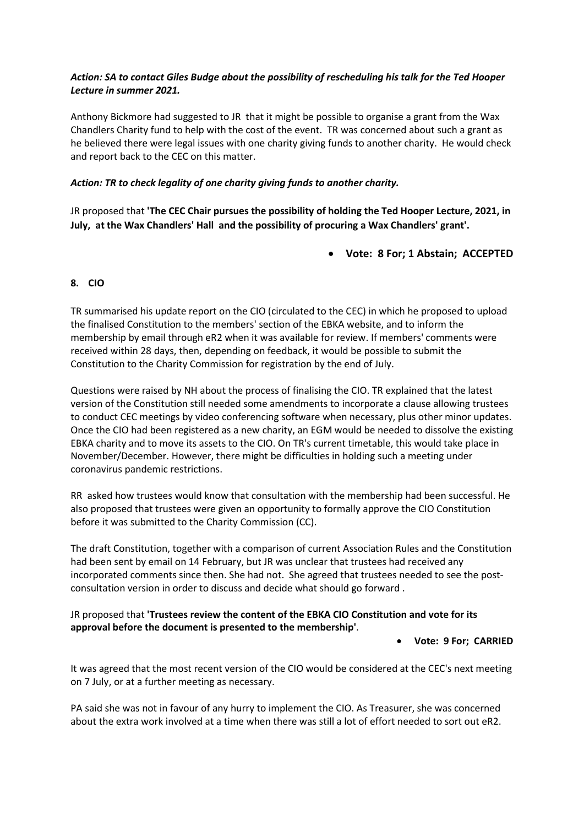## Action: SA to contact Giles Budge about the possibility of rescheduling his talk for the Ted Hooper Lecture in summer 2021.

Anthony Bickmore had suggested to JR that it might be possible to organise a grant from the Wax Chandlers Charity fund to help with the cost of the event. TR was concerned about such a grant as he believed there were legal issues with one charity giving funds to another charity. He would check and report back to the CEC on this matter.

## Action: TR to check legality of one charity giving funds to another charity.

JR proposed that 'The CEC Chair pursues the possibility of holding the Ted Hooper Lecture, 2021, in July, at the Wax Chandlers' Hall and the possibility of procuring a Wax Chandlers' grant'.

Vote: 8 For; 1 Abstain; ACCEPTED

## 8. CIO

TR summarised his update report on the CIO (circulated to the CEC) in which he proposed to upload the finalised Constitution to the members' section of the EBKA website, and to inform the membership by email through eR2 when it was available for review. If members' comments were received within 28 days, then, depending on feedback, it would be possible to submit the Constitution to the Charity Commission for registration by the end of July.

Questions were raised by NH about the process of finalising the CIO. TR explained that the latest version of the Constitution still needed some amendments to incorporate a clause allowing trustees to conduct CEC meetings by video conferencing software when necessary, plus other minor updates. Once the CIO had been registered as a new charity, an EGM would be needed to dissolve the existing EBKA charity and to move its assets to the CIO. On TR's current timetable, this would take place in November/December. However, there might be difficulties in holding such a meeting under coronavirus pandemic restrictions.

RR asked how trustees would know that consultation with the membership had been successful. He also proposed that trustees were given an opportunity to formally approve the CIO Constitution before it was submitted to the Charity Commission (CC).

The draft Constitution, together with a comparison of current Association Rules and the Constitution had been sent by email on 14 February, but JR was unclear that trustees had received any incorporated comments since then. She had not. She agreed that trustees needed to see the postconsultation version in order to discuss and decide what should go forward .

## JR proposed that 'Trustees review the content of the EBKA CIO Constitution and vote for its approval before the document is presented to the membership'.

#### Vote: 9 For; CARRIED

It was agreed that the most recent version of the CIO would be considered at the CEC's next meeting on 7 July, or at a further meeting as necessary.

PA said she was not in favour of any hurry to implement the CIO. As Treasurer, she was concerned about the extra work involved at a time when there was still a lot of effort needed to sort out eR2.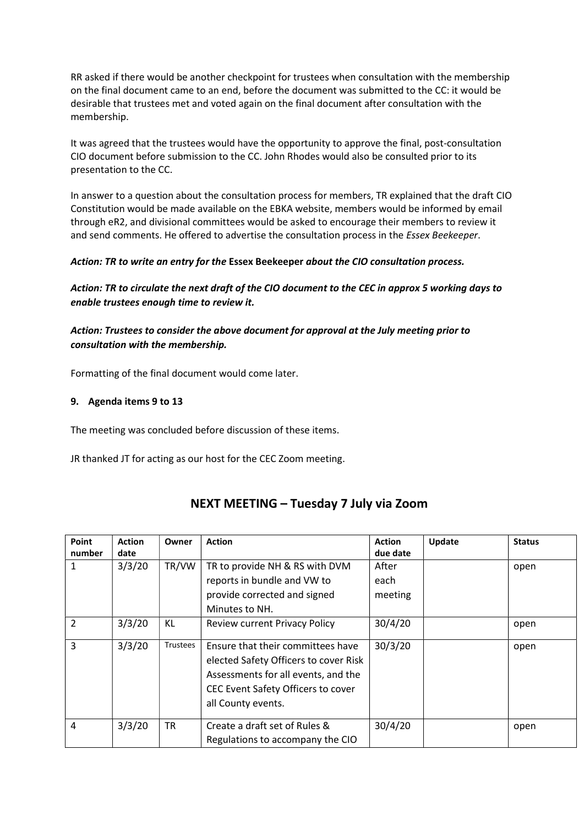RR asked if there would be another checkpoint for trustees when consultation with the membership on the final document came to an end, before the document was submitted to the CC: it would be desirable that trustees met and voted again on the final document after consultation with the membership.

It was agreed that the trustees would have the opportunity to approve the final, post-consultation CIO document before submission to the CC. John Rhodes would also be consulted prior to its presentation to the CC.

In answer to a question about the consultation process for members, TR explained that the draft CIO Constitution would be made available on the EBKA website, members would be informed by email through eR2, and divisional committees would be asked to encourage their members to review it and send comments. He offered to advertise the consultation process in the Essex Beekeeper.

## Action: TR to write an entry for the Essex Beekeeper about the CIO consultation process.

Action: TR to circulate the next draft of the CIO document to the CEC in approx 5 working days to enable trustees enough time to review it.

# Action: Trustees to consider the above document for approval at the July meeting prior to consultation with the membership.

Formatting of the final document would come later.

#### 9. Agenda items 9 to 13

The meeting was concluded before discussion of these items.

JR thanked JT for acting as our host for the CEC Zoom meeting.

| Point<br>number | <b>Action</b><br>date | Owner    | <b>Action</b>                                                                                                                                                                 | <b>Action</b><br>due date | Update | <b>Status</b> |
|-----------------|-----------------------|----------|-------------------------------------------------------------------------------------------------------------------------------------------------------------------------------|---------------------------|--------|---------------|
| 1               | 3/3/20                | TR/VW    | TR to provide NH & RS with DVM<br>reports in bundle and VW to<br>provide corrected and signed                                                                                 | After<br>each<br>meeting  |        | open          |
| $\overline{2}$  | 3/3/20                | KL       | Minutes to NH.<br><b>Review current Privacy Policy</b>                                                                                                                        | 30/4/20                   |        | open          |
|                 |                       |          |                                                                                                                                                                               |                           |        |               |
| $\overline{3}$  | 3/3/20                | Trustees | Ensure that their committees have<br>elected Safety Officers to cover Risk<br>Assessments for all events, and the<br>CEC Event Safety Officers to cover<br>all County events. | 30/3/20                   |        | open          |
| 4               | 3/3/20                | TR       | Create a draft set of Rules &<br>Regulations to accompany the CIO                                                                                                             | 30/4/20                   |        | open          |

# NEXT MEETING – Tuesday 7 July via Zoom